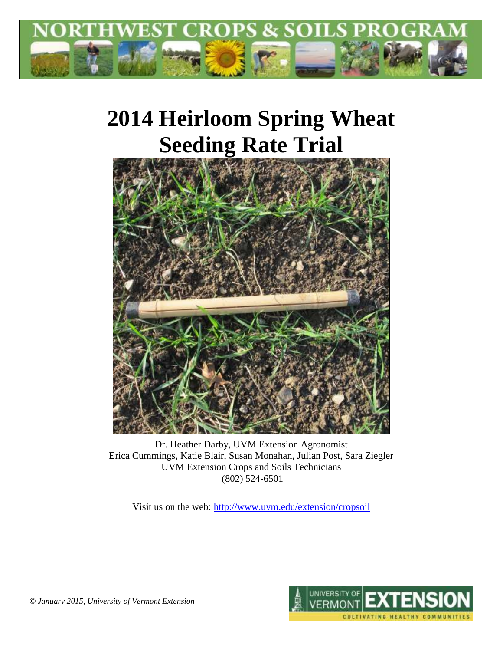

# **2014 Heirloom Spring Wheat Seeding Rate Trial**



Dr. Heather Darby, UVM Extension Agronomist Erica Cummings, Katie Blair, Susan Monahan, Julian Post, Sara Ziegler UVM Extension Crops and Soils Technicians (802) 524-6501

Visit us on the web:<http://www.uvm.edu/extension/cropsoil>



*© January 2015, University of Vermont Extension*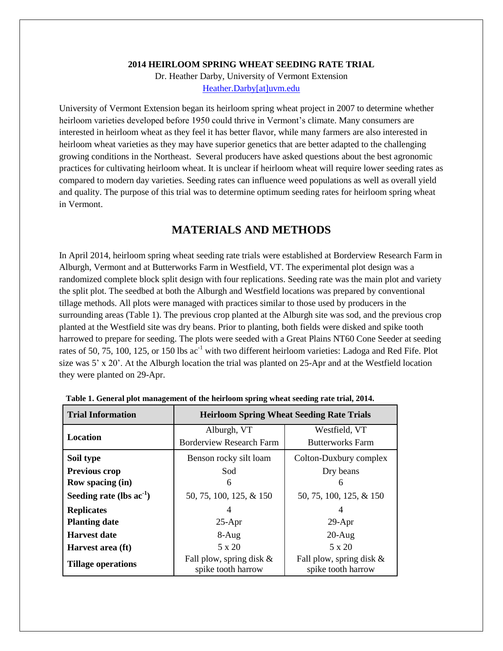**2014 HEIRLOOM SPRING WHEAT SEEDING RATE TRIAL**

Dr. Heather Darby, University of Vermont Extension [Heather.Darby\[at\]uvm.edu](mailto:Heather.Darby@uvm.edu)

University of Vermont Extension began its heirloom spring wheat project in 2007 to determine whether heirloom varieties developed before 1950 could thrive in Vermont's climate. Many consumers are interested in heirloom wheat as they feel it has better flavor, while many farmers are also interested in heirloom wheat varieties as they may have superior genetics that are better adapted to the challenging growing conditions in the Northeast. Several producers have asked questions about the best agronomic practices for cultivating heirloom wheat. It is unclear if heirloom wheat will require lower seeding rates as compared to modern day varieties. Seeding rates can influence weed populations as well as overall yield and quality. The purpose of this trial was to determine optimum seeding rates for heirloom spring wheat in Vermont.

## **MATERIALS AND METHODS**

In April 2014, heirloom spring wheat seeding rate trials were established at Borderview Research Farm in Alburgh, Vermont and at Butterworks Farm in Westfield, VT. The experimental plot design was a randomized complete block split design with four replications. Seeding rate was the main plot and variety the split plot. The seedbed at both the Alburgh and Westfield locations was prepared by conventional tillage methods. All plots were managed with practices similar to those used by producers in the surrounding areas (Table 1). The previous crop planted at the Alburgh site was sod, and the previous crop planted at the Westfield site was dry beans. Prior to planting, both fields were disked and spike tooth harrowed to prepare for seeding. The plots were seeded with a Great Plains NT60 Cone Seeder at seeding rates of 50, 75, 100, 125, or 150 lbs ac<sup>-1</sup> with two different heirloom varieties: Ladoga and Red Fife. Plot size was 5' x 20'. At the Alburgh location the trial was planted on 25-Apr and at the Westfield location they were planted on 29-Apr.

| <b>Trial Information</b>      | <b>Heirloom Spring Wheat Seeding Rate Trials</b> |                                                   |  |  |  |  |
|-------------------------------|--------------------------------------------------|---------------------------------------------------|--|--|--|--|
|                               | Alburgh, VT                                      | Westfield, VT                                     |  |  |  |  |
| Location                      | <b>Borderview Research Farm</b>                  | <b>Butterworks Farm</b>                           |  |  |  |  |
| Soil type                     | Benson rocky silt loam                           | Colton-Duxbury complex                            |  |  |  |  |
| Previous crop                 | Sod                                              | Dry beans                                         |  |  |  |  |
| <b>Row spacing (in)</b>       | 6                                                | 6                                                 |  |  |  |  |
| Seeding rate (lbs $ac^{-1}$ ) | 50, 75, 100, 125, & 150                          | 50, 75, 100, 125, & 150                           |  |  |  |  |
| <b>Replicates</b>             |                                                  | 4                                                 |  |  |  |  |
| <b>Planting date</b>          | $25-Apr$                                         | $29-Apr$                                          |  |  |  |  |
| <b>Harvest date</b>           | $8-Aug$                                          | $20-Aug$                                          |  |  |  |  |
| Harvest area (ft)             | 5 x 20                                           | $5 \times 20$                                     |  |  |  |  |
| <b>Tillage operations</b>     | Fall plow, spring disk $&$<br>spike tooth harrow | Fall plow, spring disk $\&$<br>spike tooth harrow |  |  |  |  |

**Table 1. General plot management of the heirloom spring wheat seeding rate trial, 2014.**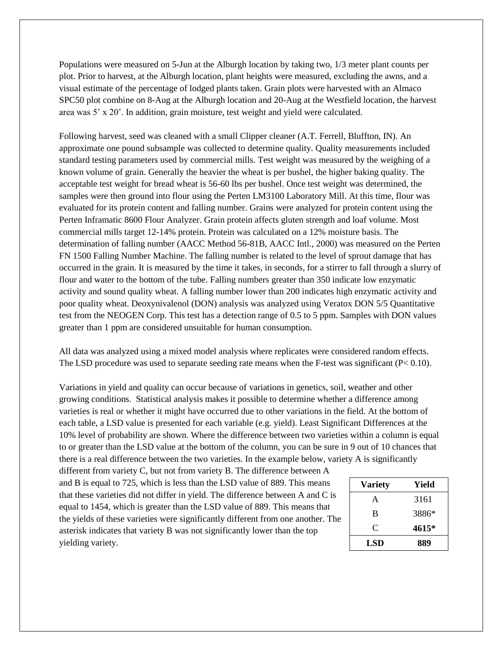Populations were measured on 5-Jun at the Alburgh location by taking two, 1/3 meter plant counts per plot. Prior to harvest, at the Alburgh location, plant heights were measured, excluding the awns, and a visual estimate of the percentage of lodged plants taken. Grain plots were harvested with an Almaco SPC50 plot combine on 8-Aug at the Alburgh location and 20-Aug at the Westfield location, the harvest area was 5' x 20'. In addition, grain moisture, test weight and yield were calculated.

Following harvest, seed was cleaned with a small Clipper cleaner (A.T. Ferrell, Bluffton, IN). An approximate one pound subsample was collected to determine quality. Quality measurements included standard testing parameters used by commercial mills. Test weight was measured by the weighing of a known volume of grain. Generally the heavier the wheat is per bushel, the higher baking quality. The acceptable test weight for bread wheat is 56-60 lbs per bushel. Once test weight was determined, the samples were then ground into flour using the Perten LM3100 Laboratory Mill. At this time, flour was evaluated for its protein content and falling number. Grains were analyzed for protein content using the Perten Inframatic 8600 Flour Analyzer. Grain protein affects gluten strength and loaf volume. Most commercial mills target 12-14% protein. Protein was calculated on a 12% moisture basis. The determination of falling number (AACC Method 56-81B, AACC Intl., 2000) was measured on the Perten FN 1500 Falling Number Machine. The falling number is related to the level of sprout damage that has occurred in the grain. It is measured by the time it takes, in seconds, for a stirrer to fall through a slurry of flour and water to the bottom of the tube. Falling numbers greater than 350 indicate low enzymatic activity and sound quality wheat. A falling number lower than 200 indicates high enzymatic activity and poor quality wheat. Deoxynivalenol (DON) analysis was analyzed using Veratox DON 5/5 Quantitative test from the NEOGEN Corp. This test has a detection range of 0.5 to 5 ppm. Samples with DON values greater than 1 ppm are considered unsuitable for human consumption.

All data was analyzed using a mixed model analysis where replicates were considered random effects. The LSD procedure was used to separate seeding rate means when the F-test was significant  $(P< 0.10)$ .

Variations in yield and quality can occur because of variations in genetics, soil, weather and other growing conditions. Statistical analysis makes it possible to determine whether a difference among varieties is real or whether it might have occurred due to other variations in the field. At the bottom of each table, a LSD value is presented for each variable (e.g. yield). Least Significant Differences at the 10% level of probability are shown. Where the difference between two varieties within a column is equal to or greater than the LSD value at the bottom of the column, you can be sure in 9 out of 10 chances that there is a real difference between the two varieties. In the example below, variety A is significantly

different from variety C, but not from variety B. The difference between A and B is equal to 725, which is less than the LSD value of 889. This means that these varieties did not differ in yield. The difference between A and C is equal to 1454, which is greater than the LSD value of 889. This means that the yields of these varieties were significantly different from one another. The asterisk indicates that variety B was not significantly lower than the top yielding variety.

| <b>Variety</b> | Yield |
|----------------|-------|
| A              | 3161  |
| B              | 3886* |
| C              | 4615* |
| LSD            | 889   |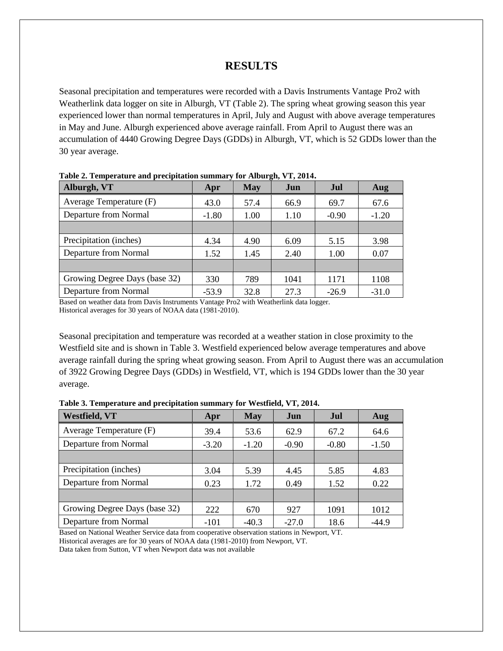## **RESULTS**

Seasonal precipitation and temperatures were recorded with a Davis Instruments Vantage Pro2 with Weatherlink data logger on site in Alburgh, VT (Table 2). The spring wheat growing season this year experienced lower than normal temperatures in April, July and August with above average temperatures in May and June. Alburgh experienced above average rainfall. From April to August there was an accumulation of 4440 Growing Degree Days (GDDs) in Alburgh, VT, which is 52 GDDs lower than the 30 year average.

| Alburgh, VT                   | Apr     | May  | Jun  | Jul     | Aug     |  |  |  |  |  |
|-------------------------------|---------|------|------|---------|---------|--|--|--|--|--|
| Average Temperature (F)       | 43.0    | 57.4 | 66.9 | 69.7    | 67.6    |  |  |  |  |  |
| Departure from Normal         | $-1.80$ | 1.00 | 1.10 | $-0.90$ | $-1.20$ |  |  |  |  |  |
|                               |         |      |      |         |         |  |  |  |  |  |
| Precipitation (inches)        | 4.34    | 4.90 | 6.09 | 5.15    | 3.98    |  |  |  |  |  |
| Departure from Normal         | 1.52    | 1.45 | 2.40 | 1.00    | 0.07    |  |  |  |  |  |
|                               |         |      |      |         |         |  |  |  |  |  |
| Growing Degree Days (base 32) | 330     | 789  | 1041 | 1171    | 1108    |  |  |  |  |  |
| Departure from Normal         | $-53.9$ | 32.8 | 27.3 | $-26.9$ | $-31.0$ |  |  |  |  |  |

**Table 2. Temperature and precipitation summary for Alburgh, VT, 2014.**

Based on weather data from Davis Instruments Vantage Pro2 with Weatherlink data logger. Historical averages for 30 years of NOAA data (1981-2010).

Seasonal precipitation and temperature was recorded at a weather station in close proximity to the Westfield site and is shown in Table 3. Westfield experienced below average temperatures and above average rainfall during the spring wheat growing season. From April to August there was an accumulation of 3922 Growing Degree Days (GDDs) in Westfield, VT, which is 194 GDDs lower than the 30 year average.

| Table 3. Temperature and precipitation summary for Westfield, VT, 2014. |  |  |  |  |
|-------------------------------------------------------------------------|--|--|--|--|
|                                                                         |  |  |  |  |

| <b>Westfield, VT</b>          | Apr     | <b>May</b> | Jun     | Jul     | Aug     |
|-------------------------------|---------|------------|---------|---------|---------|
| Average Temperature (F)       | 39.4    | 53.6       | 62.9    | 67.2    | 64.6    |
| Departure from Normal         | $-3.20$ | $-1.20$    | $-0.90$ | $-0.80$ | $-1.50$ |
|                               |         |            |         |         |         |
| Precipitation (inches)        | 3.04    | 5.39       | 4.45    | 5.85    | 4.83    |
| Departure from Normal         | 0.23    | 1.72       | 0.49    | 1.52    | 0.22    |
|                               |         |            |         |         |         |
| Growing Degree Days (base 32) | 222     | 670        | 927     | 1091    | 1012    |
| Departure from Normal         | $-101$  | $-40.3$    | $-27.0$ | 18.6    | $-44.9$ |

Based on National Weather Service data from cooperative observation stations in Newport, VT. Historical averages are for 30 years of NOAA data (1981-2010) from Newport, VT. Data taken from Sutton, VT when Newport data was not available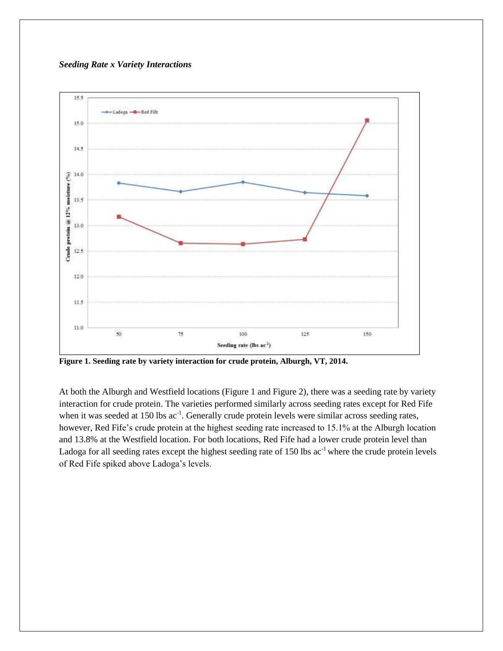#### *Seeding Rate x Variety Interactions*



**Figure 1. Seeding rate by variety interaction for crude protein, Alburgh, VT, 2014.** 

At both the Alburgh and Westfield locations (Figure 1 and Figure 2), there was a seeding rate by variety interaction for crude protein. The varieties performed similarly across seeding rates except for Red Fife when it was seeded at 150 lbs  $ac^{-1}$ . Generally crude protein levels were similar across seeding rates, however, Red Fife's crude protein at the highest seeding rate increased to 15.1% at the Alburgh location and 13.8% at the Westfield location. For both locations, Red Fife had a lower crude protein level than Ladoga for all seeding rates except the highest seeding rate of  $150$  lbs ac<sup>-1</sup> where the crude protein levels of Red Fife spiked above Ladoga's levels.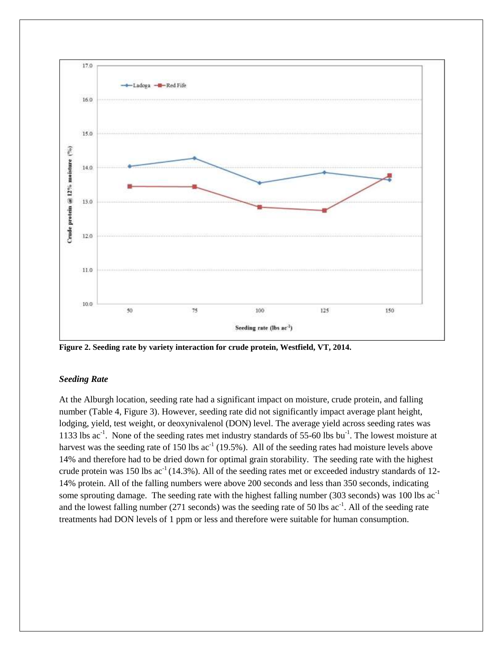

**Figure 2. Seeding rate by variety interaction for crude protein, Westfield, VT, 2014.** 

#### *Seeding Rate*

At the Alburgh location, seeding rate had a significant impact on moisture, crude protein, and falling number (Table 4, Figure 3). However, seeding rate did not significantly impact average plant height, lodging, yield, test weight, or deoxynivalenol (DON) level. The average yield across seeding rates was 1133 lbs ac<sup>-1</sup>. None of the seeding rates met industry standards of 55-60 lbs bu<sup>-1</sup>. The lowest moisture at harvest was the seeding rate of 150 lbs  $ac^{-1}$  (19.5%). All of the seeding rates had moisture levels above 14% and therefore had to be dried down for optimal grain storability. The seeding rate with the highest crude protein was 150 lbs  $ac^{-1}(14.3\%)$ . All of the seeding rates met or exceeded industry standards of 12-14% protein. All of the falling numbers were above 200 seconds and less than 350 seconds, indicating some sprouting damage. The seeding rate with the highest falling number (303 seconds) was 100 lbs  $ac^{-1}$ and the lowest falling number  $(271$  seconds) was the seeding rate of 50 lbs  $ac^{-1}$ . All of the seeding rate treatments had DON levels of 1 ppm or less and therefore were suitable for human consumption.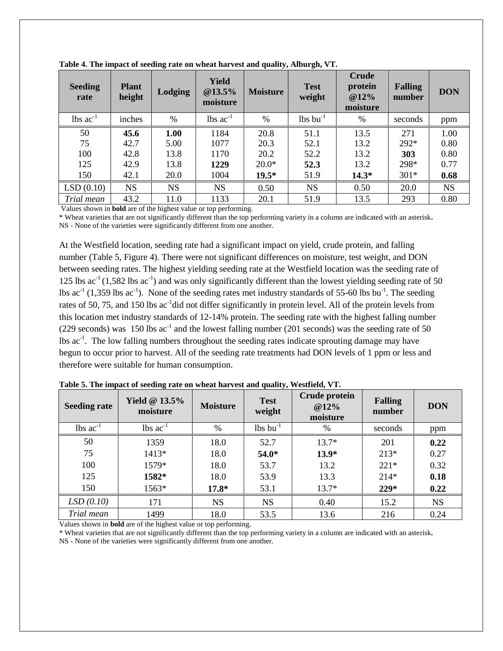| <b>Seeding</b><br>rate        | <b>Plant</b><br>height | Lodging   | <b>Yield</b><br>@13.5%<br>moisture | <b>Moisture</b> | <b>Test</b><br>weight         | <b>Crude</b><br>protein<br>@12%<br>moisture | <b>Falling</b><br>number | <b>DON</b> |
|-------------------------------|------------------------|-----------|------------------------------------|-----------------|-------------------------------|---------------------------------------------|--------------------------|------------|
| $\text{lbs}$ ac <sup>-1</sup> | inches                 | $\%$      | $\text{lbs}$ ac <sup>-1</sup>      | $\%$            | $\text{lbs}$ bu <sup>-1</sup> | $\%$                                        | seconds                  | ppm        |
| 50                            | 45.6                   | 1.00      | 1184                               | 20.8            | 51.1                          | 13.5                                        | 271                      | 1.00       |
| 75                            | 42.7                   | 5.00      | 1077                               | 20.3            | 52.1                          | 13.2                                        | $292*$                   | 0.80       |
| 100                           | 42.8                   | 13.8      | 1170                               | 20.2            | 52.2                          | 13.2                                        | 303                      | 0.80       |
| 125                           | 42.9                   | 13.8      | 1229                               | $20.0*$         | 52.3                          | 13.2                                        | 298*                     | 0.77       |
| 150                           | 42.1                   | 20.0      | 1004                               | $19.5*$         | 51.9                          | $14.3*$                                     | $301*$                   | 0.68       |
| LSD(0.10)                     | <b>NS</b>              | <b>NS</b> | <b>NS</b>                          | 0.50            | <b>NS</b>                     | 0.50                                        | 20.0                     | <b>NS</b>  |
| Trial mean                    | 43.2                   | 11.0      | 1133                               | 20.1            | 51.9                          | 13.5                                        | 293                      | 0.80       |

**Table 4. The impact of seeding rate on wheat harvest and quality, Alburgh, VT.**

Values shown in **bold** are of the highest value or top performing.

\* Wheat varieties that are not significantly different than the top performing variety in a column are indicated with an asterisk**.** NS - None of the varieties were significantly different from one another.

At the Westfield location, seeding rate had a significant impact on yield, crude protein, and falling number (Table 5, Figure 4). There were not significant differences on moisture, test weight, and DON between seeding rates. The highest yielding seeding rate at the Westfield location was the seeding rate of 125 lbs  $ac^{-1}(1,582 \text{ lbs } ac^{-1})$  and was only significantly different than the lowest yielding seeding rate of 50 lbs  $ac^{-1}$  (1,359 lbs  $ac^{-1}$ ). None of the seeding rates met industry standards of 55-60 lbs bu<sup>-1</sup>. The seeding rates of 50, 75, and 150 lbs  $ac^{-1}$ did not differ significantly in protein level. All of the protein levels from this location met industry standards of 12-14% protein. The seeding rate with the highest falling number (229 seconds) was 150 lbs  $ac^{-1}$  and the lowest falling number (201 seconds) was the seeding rate of 50 lbs ac<sup>-1</sup>. The low falling numbers throughout the seeding rates indicate sprouting damage may have begun to occur prior to harvest. All of the seeding rate treatments had DON levels of 1 ppm or less and therefore were suitable for human consumption.

| <b>Seeding rate</b>           | Yield $@13.5\%$<br>moisture   | <b>Moisture</b> | Crude protein<br><b>Test</b><br>@12%<br>weight<br>moisture |         | <b>Falling</b><br>number | <b>DON</b> |
|-------------------------------|-------------------------------|-----------------|------------------------------------------------------------|---------|--------------------------|------------|
| $\text{lbs}$ ac <sup>-1</sup> | $\text{lbs}$ ac <sup>-1</sup> | $\frac{0}{0}$   | $\text{lbs} \text{bu}^{-1}$                                | $\%$    | seconds                  | ppm        |
| 50                            | 1359                          | 18.0            | 52.7                                                       | $13.7*$ | 201                      | 0.22       |
| 75                            | 1413*                         | 18.0            | 54.0*                                                      | $13.9*$ | $213*$                   | 0.27       |
| 100                           | 1579*                         | 18.0            | 53.7                                                       | 13.2    | $221*$                   | 0.32       |
| 125                           | 1582*                         | 18.0            | 53.9                                                       | 13.3    | $214*$                   | 0.18       |
| 150                           | 1563*                         | $17.8*$         | 53.1                                                       | $13.7*$ | $229*$                   | 0.22       |
| LSD(0.10)                     | 171                           | <b>NS</b>       | <b>NS</b>                                                  | 0.40    | 15.2                     | <b>NS</b>  |
| Trial mean                    | 1499                          | 18.0            | 53.5                                                       | 13.6    | 216                      | 0.24       |

**Table 5. The impact of seeding rate on wheat harvest and quality, Westfield, VT.**

Values shown in **bold** are of the highest value or top performing.

\* Wheat varieties that are not significantly different than the top performing variety in a column are indicated with an asterisk**.** NS - None of the varieties were significantly different from one another.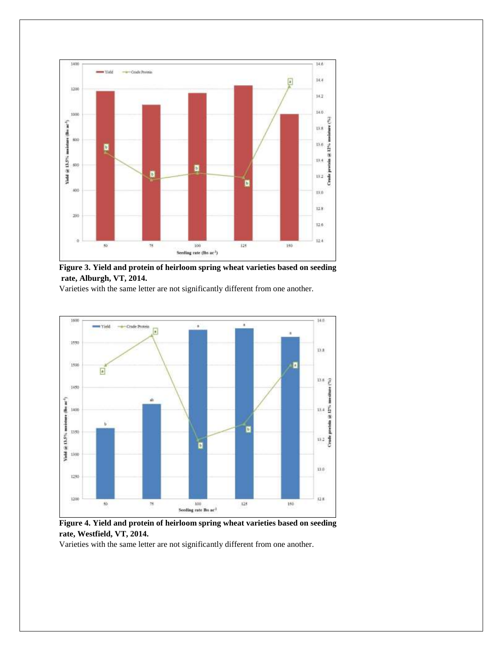

**Figure 3. Yield and protein of heirloom spring wheat varieties based on seeding rate, Alburgh, VT, 2014.** 

Varieties with the same letter are not significantly different from one another.



**Figure 4. Yield and protein of heirloom spring wheat varieties based on seeding rate, Westfield, VT, 2014.** 

Varieties with the same letter are not significantly different from one another.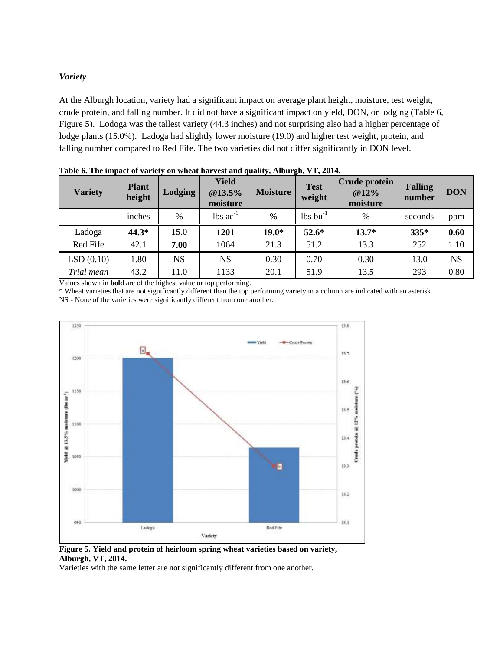#### *Variety*

At the Alburgh location, variety had a significant impact on average plant height, moisture, test weight, crude protein, and falling number. It did not have a significant impact on yield, DON, or lodging (Table 6, Figure 5). Lodoga was the tallest variety (44.3 inches) and not surprising also had a higher percentage of lodge plants (15.0%). Ladoga had slightly lower moisture (19.0) and higher test weight, protein, and falling number compared to Red Fife. The two varieties did not differ significantly in DON level.

| <b>Variety</b> | <b>Plant</b><br>height | Lodging   | Yield<br>@13.5%<br>moisture | <b>Moisture</b> | <b>Crude protein</b><br><b>Test</b><br>@12%<br>weight<br>moisture |         | <b>Falling</b><br>number | <b>DON</b> |
|----------------|------------------------|-----------|-----------------------------|-----------------|-------------------------------------------------------------------|---------|--------------------------|------------|
|                | inches                 | %         | lbs $ac^{-1}$               | $\frac{0}{0}$   | $lbs$ bu <sup>-1</sup>                                            | $\%$    | seconds                  | ppm        |
| Ladoga         | $44.3*$                | 15.0      | 1201                        | $19.0*$         | $52.6*$                                                           | $13.7*$ | $335*$                   | 0.60       |
| Red Fife       | 42.1                   | 7.00      | 1064                        | 21.3            | 51.2                                                              | 13.3    | 252                      | 1.10       |
| LSD(0.10)      | 1.80                   | <b>NS</b> | <b>NS</b>                   | 0.30            | 0.70                                                              | 0.30    | 13.0                     | <b>NS</b>  |
| Trial mean     | 43.2                   | 11.0      | 1133                        | 20.1            | 51.9                                                              | 13.5    | 293                      | 0.80       |

**Table 6. The impact of variety on wheat harvest and quality, Alburgh, VT, 2014.** 

Values shown in **bold** are of the highest value or top performing.

\* Wheat varieties that are not significantly different than the top performing variety in a column are indicated with an asterisk.

NS - None of the varieties were significantly different from one another.



**Figure 5. Yield and protein of heirloom spring wheat varieties based on variety, Alburgh, VT, 2014.** 

Varieties with the same letter are not significantly different from one another.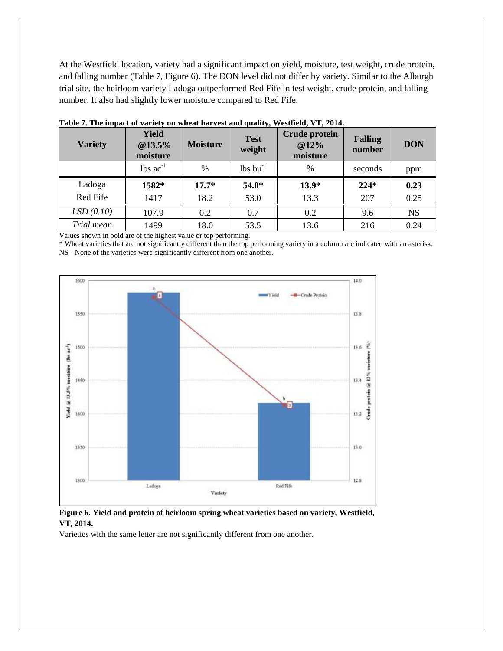At the Westfield location, variety had a significant impact on yield, moisture, test weight, crude protein, and falling number (Table 7, Figure 6). The DON level did not differ by variety. Similar to the Alburgh trial site, the heirloom variety Ladoga outperformed Red Fife in test weight, crude protein, and falling number. It also had slightly lower moisture compared to Red Fife.

| <b>Variety</b> | <b>Yield</b><br>@13.5%<br>moisture | <b>Moisture</b> | <b>Test</b><br>weight          | <b>Crude protein</b><br>@12%<br>moisture | <b>Falling</b><br>number | <b>DON</b> |
|----------------|------------------------------------|-----------------|--------------------------------|------------------------------------------|--------------------------|------------|
|                | $\text{lbs}$ ac <sup>-1</sup>      | $\%$            | $\frac{1}{5}$ bu <sup>-1</sup> | %                                        | seconds                  | ppm        |
| Ladoga         | 1582*                              | $17.7*$         | 54.0*                          | $13.9*$                                  | $224*$                   | 0.23       |
| Red Fife       | 1417                               | 18.2            | 53.0                           | 13.3                                     | 207                      | 0.25       |
| LSD(0.10)      | 107.9                              | 0.2             | 0.7                            | 0.2                                      | 9.6                      | <b>NS</b>  |
| Trial mean     | 1499                               | 18.0            | 53.5                           | 13.6                                     | 216                      | 0.24       |

**Table 7. The impact of variety on wheat harvest and quality, Westfield, VT, 2014.**

Values shown in bold are of the highest value or top performing.

\* Wheat varieties that are not significantly different than the top performing variety in a column are indicated with an asterisk. NS - None of the varieties were significantly different from one another.



**Figure 6. Yield and protein of heirloom spring wheat varieties based on variety, Westfield, VT, 2014.** 

Varieties with the same letter are not significantly different from one another.